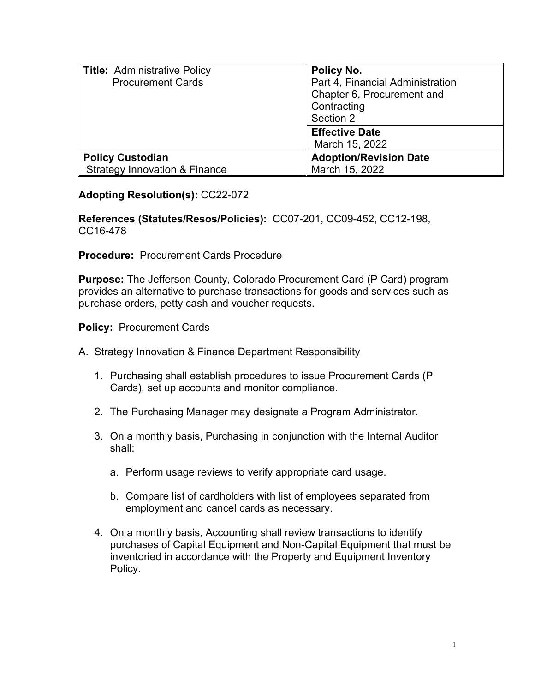| <b>Title: Administrative Policy</b>      | Policy No.                       |
|------------------------------------------|----------------------------------|
| <b>Procurement Cards</b>                 | Part 4, Financial Administration |
|                                          | Chapter 6, Procurement and       |
|                                          | Contracting                      |
|                                          | Section 2                        |
|                                          | <b>Effective Date</b>            |
|                                          | March 15, 2022                   |
| <b>Policy Custodian</b>                  | <b>Adoption/Revision Date</b>    |
| <b>Strategy Innovation &amp; Finance</b> | March 15, 2022                   |

## **Adopting Resolution(s):** CC22-072

**References (Statutes/Resos/Policies):** CC07-201, CC09-452, CC12-198, CC16-478

**Procedure:** Procurement Cards Procedure

**Purpose:** The Jefferson County, Colorado Procurement Card (P Card) program provides an alternative to purchase transactions for goods and services such as purchase orders, petty cash and voucher requests.

**Policy:** Procurement Cards

A. Strategy Innovation & Finance Department Responsibility

- 1. Purchasing shall establish procedures to issue Procurement Cards (P Cards), set up accounts and monitor compliance.
- 2. The Purchasing Manager may designate a Program Administrator.
- 3. On a monthly basis, Purchasing in conjunction with the Internal Auditor shall:
	- a. Perform usage reviews to verify appropriate card usage.
	- b. Compare list of cardholders with list of employees separated from employment and cancel cards as necessary.
- 4. On a monthly basis, Accounting shall review transactions to identify purchases of Capital Equipment and Non-Capital Equipment that must be inventoried in accordance with the Property and Equipment Inventory Policy.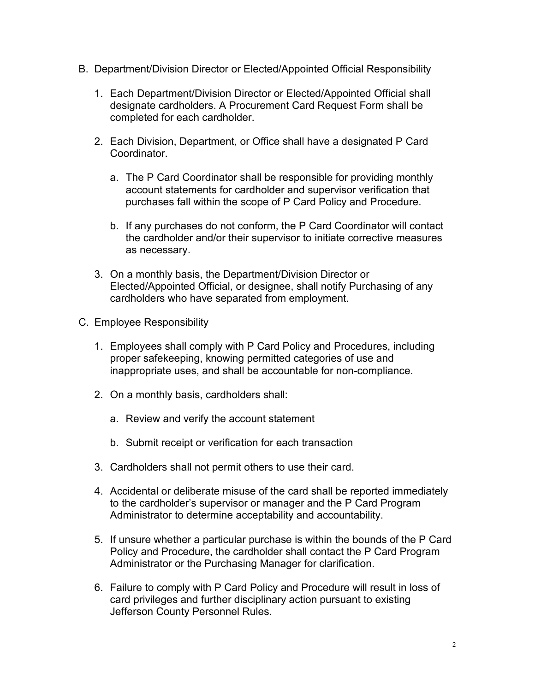- B. Department/Division Director or Elected/Appointed Official Responsibility
	- 1. Each Department/Division Director or Elected/Appointed Official shall designate cardholders. A Procurement Card Request Form shall be completed for each cardholder.
	- 2. Each Division, Department, or Office shall have a designated P Card Coordinator.
		- a. The P Card Coordinator shall be responsible for providing monthly account statements for cardholder and supervisor verification that purchases fall within the scope of P Card Policy and Procedure.
		- b. If any purchases do not conform, the P Card Coordinator will contact the cardholder and/or their supervisor to initiate corrective measures as necessary.
	- 3. On a monthly basis, the Department/Division Director or Elected/Appointed Official, or designee, shall notify Purchasing of any cardholders who have separated from employment.
- C. Employee Responsibility
	- 1. Employees shall comply with P Card Policy and Procedures, including proper safekeeping, knowing permitted categories of use and inappropriate uses, and shall be accountable for non-compliance.
	- 2. On a monthly basis, cardholders shall:
		- a. Review and verify the account statement
		- b. Submit receipt or verification for each transaction
	- 3. Cardholders shall not permit others to use their card.
	- 4. Accidental or deliberate misuse of the card shall be reported immediately to the cardholder's supervisor or manager and the P Card Program Administrator to determine acceptability and accountability.
	- 5. If unsure whether a particular purchase is within the bounds of the P Card Policy and Procedure, the cardholder shall contact the P Card Program Administrator or the Purchasing Manager for clarification.
	- 6. Failure to comply with P Card Policy and Procedure will result in loss of card privileges and further disciplinary action pursuant to existing Jefferson County Personnel Rules.